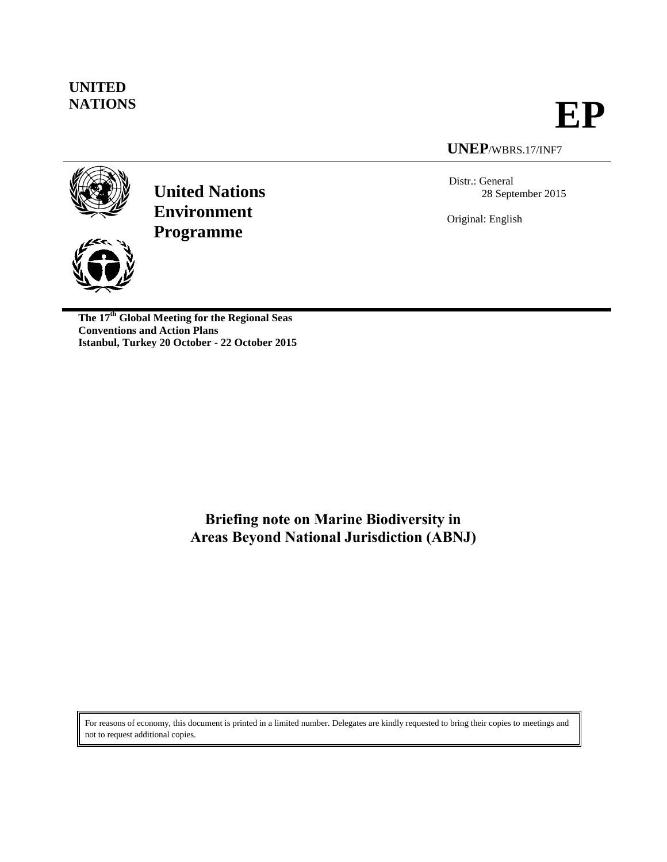# **UNITED**

**NATIONS EP**

### **UNEP**/WBRS.17/INF7

Distr.: General 28 September 2015

Original: English





**The 17th Global Meeting for the Regional Seas Conventions and Action Plans Istanbul, Turkey 20 October - 22 October 2015**

> **Briefing note on Marine Biodiversity in Areas Beyond National Jurisdiction (ABNJ)**

For reasons of economy, this document is printed in a limited number. Delegates are kindly requested to bring their copies to meetings and not to request additional copies.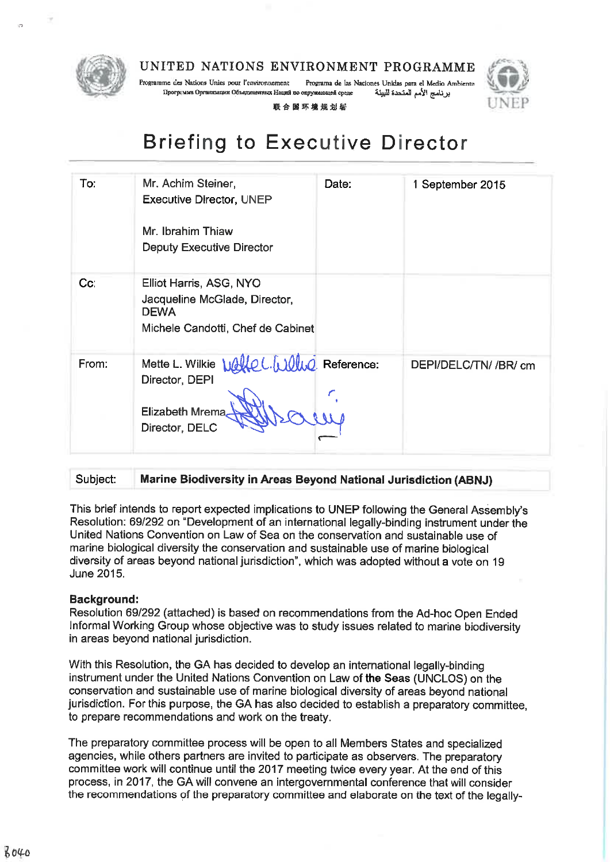

Programme des Nations Unies pour l'environnement Programa de las Naciones Unidas para el Medio Ambiente برنامج الأمم المتحدة للبيئة Программа Организации Объединенных Наций по окружающей среде

联合国环境规划砦



### **Briefing to Executive Director**

| To:   | Mr. Achim Steiner,<br><b>Executive Director, UNEP</b><br>Mr. Ibrahim Thiaw<br><b>Deputy Executive Director</b> | Date: | 1 September 2015      |
|-------|----------------------------------------------------------------------------------------------------------------|-------|-----------------------|
| Cc    | Elliot Harris, ASG, NYO<br>Jacqueline McGlade, Director,<br><b>DEWA</b><br>Michele Candotti, Chef de Cabinet   |       |                       |
| From: | Mette L. Wilkie Walle L. Wull Reference:<br>Director, DEPI<br><b>Elizabeth Mrema</b><br>Director, DELC         |       | DEPI/DELC/TN/ /BR/ cm |

#### Marine Biodiversity in Areas Bevond National Jurisdiction (ABNJ) Subject:

This brief intends to report expected implications to UNEP following the General Assembly's Resolution: 69/292 on "Development of an international legally-binding instrument under the United Nations Convention on Law of Sea on the conservation and sustainable use of marine biological diversity the conservation and sustainable use of marine biological diversity of areas beyond national jurisdiction", which was adopted without a vote on 19 June 2015.

### **Background:**

Resolution 69/292 (attached) is based on recommendations from the Ad-hoc Open Ended Informal Working Group whose objective was to study issues related to marine biodiversity in areas beyond national jurisdiction.

With this Resolution, the GA has decided to develop an international legally-binding instrument under the United Nations Convention on Law of the Seas (UNCLOS) on the conservation and sustainable use of marine biological diversity of areas beyond national jurisdiction. For this purpose, the GA has also decided to establish a preparatory committee. to prepare recommendations and work on the treaty.

The preparatory committee process will be open to all Members States and specialized agencies, while others partners are invited to participate as observers. The preparatory committee work will continue until the 2017 meeting twice every year. At the end of this process, in 2017, the GA will convene an intergovernmental conference that will consider the recommendations of the preparatory committee and elaborate on the text of the legally-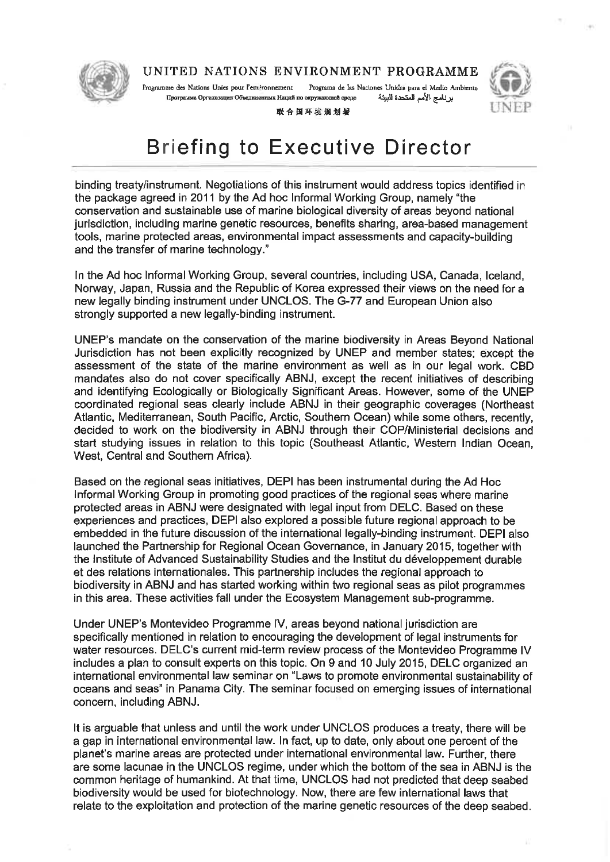

Programa de las Naciones Unidas para el Medio Ambiente Programme des Nations Unies nous l'environnement Программа Организации Объединенных Наций по окружающей среде برنامج الأمم المتحدة البيئة



联合国环境规划岩

### **Briefing to Executive Director**

binding treaty/instrument. Negotiations of this instrument would address topics identified in the package agreed in 2011 by the Ad hoc Informal Working Group, namely "the conservation and sustainable use of marine biological diversity of areas beyond national jurisdiction, including marine genetic resources, benefits sharing, area-based management tools, marine protected areas, environmental impact assessments and capacity-building and the transfer of marine technology."

In the Ad hoc Informal Working Group, several countries, including USA, Canada, Iceland, Norway, Japan, Russia and the Republic of Korea expressed their views on the need for a new legally binding instrument under UNCLOS. The G-77 and European Union also strongly supported a new legally-binding instrument.

UNEP's mandate on the conservation of the marine biodiversity in Areas Beyond National Jurisdiction has not been explicitly recognized by UNEP and member states; except the assessment of the state of the marine environment as well as in our legal work. CBD mandates also do not cover specifically ABNJ, except the recent initiatives of describing and identifying Ecologically or Biologically Significant Areas. However, some of the UNEP coordinated regional seas clearly include ABNJ in their geographic coverages (Northeast Atlantic, Mediterranean, South Pacific, Arctic, Southern Ocean) while some others, recently, decided to work on the biodiversity in ABNJ through their COP/Ministerial decisions and start studying issues in relation to this topic (Southeast Atlantic, Western Indian Ocean, West, Central and Southern Africa).

Based on the regional seas initiatives, DEPI has been instrumental during the Ad Hoc Informal Working Group in promoting good practices of the regional seas where marine protected areas in ABNJ were designated with legal input from DELC. Based on these experiences and practices, DEPI also explored a possible future regional approach to be embedded in the future discussion of the international legally-binding instrument. DEPI also launched the Partnership for Regional Ocean Governance, in January 2015, together with the Institute of Advanced Sustainability Studies and the Institut du développement durable et des relations internationales. This partnership includes the regional approach to biodiversity in ABNJ and has started working within two regional seas as pilot programmes in this area. These activities fall under the Ecosystem Management sub-programme.

Under UNEP's Montevideo Programme IV, areas beyond national jurisdiction are specifically mentioned in relation to encouraging the development of legal instruments for water resources. DELC's current mid-term review process of the Montevideo Programme IV includes a plan to consult experts on this topic. On 9 and 10 July 2015, DELC organized an international environmental law seminar on "Laws to promote environmental sustainability of oceans and seas" in Panama City. The seminar focused on emerging issues of international concern, including ABNJ.

It is arguable that unless and until the work under UNCLOS produces a treaty, there will be a gap in international environmental law. In fact, up to date, only about one percent of the planet's marine areas are protected under international environmental law. Further, there are some lacunae in the UNCLOS regime, under which the bottom of the sea in ABNJ is the common heritage of humankind. At that time, UNCLOS had not predicted that deep seabed biodiversity would be used for biotechnology. Now, there are few international laws that relate to the exploitation and protection of the marine genetic resources of the deep seabed.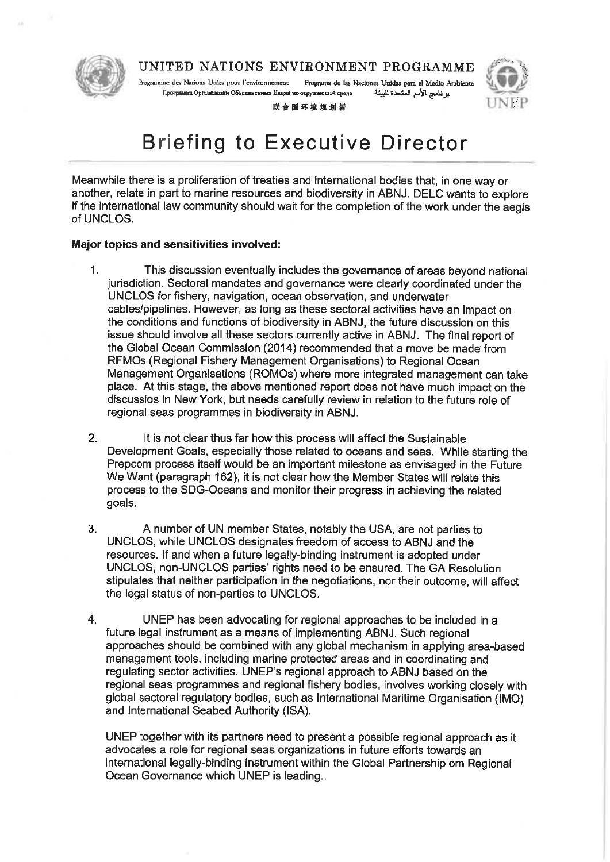

Programme des Nations Unles pour l'environnement Programa de las Naciones Unidas para el Medio Ambiente Программа Организации Объединенных Наций по окружающей средс بر نامج الأمم المتحدة للبيئة

联合国环境规划基

### **Briefing to Executive Director**

Meanwhile there is a proliferation of treaties and international bodies that, in one way or another, relate in part to marine resources and biodiversity in ABNJ. DELC wants to explore if the international law community should wait for the completion of the work under the aegis of UNCLOS.

### **Major topics and sensitivities involved:**

- $1<sub>1</sub>$ This discussion eventually includes the governance of areas beyond national jurisdiction. Sectoral mandates and governance were clearly coordinated under the UNCLOS for fishery, navigation, ocean observation, and underwater cables/pipelines. However, as long as these sectoral activities have an impact on the conditions and functions of biodiversity in ABNJ, the future discussion on this issue should involve all these sectors currently active in ABNJ. The final report of the Global Ocean Commission (2014) recommended that a move be made from RFMOs (Regional Fishery Management Organisations) to Regional Ocean Management Organisations (ROMOs) where more integrated management can take place. At this stage, the above mentioned report does not have much impact on the discussios in New York, but needs carefully review in relation to the future role of regional seas programmes in biodiversity in ABNJ.
- $2.$ It is not clear thus far how this process will affect the Sustainable Development Goals, especially those related to oceans and seas. While starting the Prepcom process itself would be an important milestone as envisaged in the Future We Want (paragraph 162), it is not clear how the Member States will relate this process to the SDG-Oceans and monitor their progress in achieving the related goals.
- $3<sub>1</sub>$ A number of UN member States, notably the USA, are not parties to UNCLOS, while UNCLOS designates freedom of access to ABNJ and the resources. If and when a future legally-binding instrument is adopted under UNCLOS, non-UNCLOS parties' rights need to be ensured. The GA Resolution stipulates that neither participation in the negotiations, nor their outcome, will affect the legal status of non-parties to UNCLOS.
- 4. UNEP has been advocating for regional approaches to be included in a future legal instrument as a means of implementing ABNJ. Such regional approaches should be combined with any global mechanism in applying area-based management tools, including marine protected areas and in coordinating and regulating sector activities. UNEP's regional approach to ABNJ based on the regional seas programmes and regional fishery bodies, involves working closely with global sectoral regulatory bodies, such as International Maritime Organisation (IMO) and International Seabed Authority (ISA).

UNEP together with its partners need to present a possible regional approach as it advocates a role for regional seas organizations in future efforts towards an international legally-binding instrument within the Global Partnership om Regional Ocean Governance which UNEP is leading...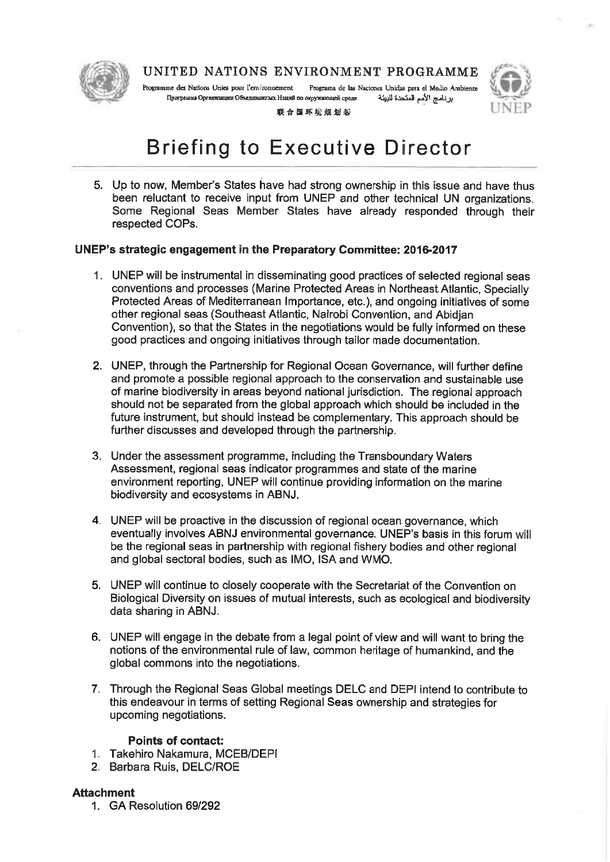

Programme des Nations Unies pour l'environnement Programa de las Naciones Unidas para el Medio Ambiente Программа Организации Объединситых Наций по окружающей среде برنامج الأمم المتحدة للبيئة



联合国环境规划署

## **Briefing to Executive Director**

5. Up to now, Member's States have had strong ownership in this issue and have thus been reluctant to receive input from UNEP and other technical UN organizations. Some Regional Seas Member States have already responded through their respected COPs.

### UNEP's strategic engagement in the Preparatory Committee: 2016-2017

- 1. UNEP will be instrumental in disseminating good practices of selected regional seas conventions and processes (Marine Protected Areas in Northeast Atlantic, Specially Protected Areas of Mediterranean Importance, etc.), and ongoing initiatives of some other regional seas (Southeast Atlantic, Nairobi Convention, and Abidian Convention), so that the States in the negotiations would be fully informed on these good practices and ongoing initiatives through tailor made documentation.
- 2. UNEP, through the Partnership for Regional Ocean Governance, will further define and promote a possible regional approach to the conservation and sustainable use of marine biodiversity in areas beyond national jurisdiction. The regional approach should not be separated from the global approach which should be included in the future instrument, but should instead be complementary. This approach should be further discusses and developed through the partnership.
- 3. Under the assessment programme, including the Transboundary Waters Assessment, regional seas indicator programmes and state of the marine environment reporting, UNEP will continue providing information on the marine biodiversity and ecosystems in ABNJ.
- 4. UNEP will be proactive in the discussion of regional ocean governance, which eventually involves ABNJ environmental governance. UNEP's basis in this forum will be the regional seas in partnership with regional fishery bodies and other regional and global sectoral bodies, such as IMO, ISA and WMO.
- 5. UNEP will continue to closely cooperate with the Secretariat of the Convention on Biological Diversity on issues of mutual interests, such as ecological and biodiversity data sharing in ABNJ.
- 6. UNEP will engage in the debate from a legal point of view and will want to bring the notions of the environmental rule of law, common heritage of humankind, and the global commons into the negotiations.
- 7. Through the Regional Seas Global meetings DELC and DEPI intend to contribute to this endeavour in terms of setting Regional Seas ownership and strategies for upcoming negotiations.

### **Points of contact:**

- 1. Takehiro Nakamura, MCEB/DEPI
- 2. Barbara Ruis, DELC/ROE

### **Attachment**

1. GA Resolution 69/292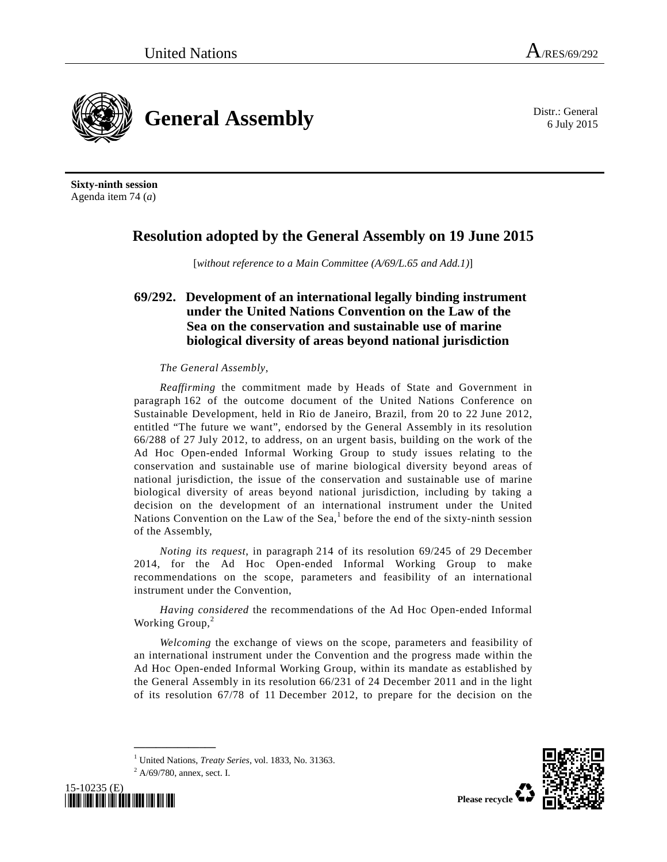6 July 2015



**Sixty-ninth session**  Agenda item 74 (*a*)

### **Resolution adopted by the General Assembly on 19 June 2015**

[*without reference to a Main Committee (A/69/L.65 and Add.1)*]

### **69/292. Development of an international legally binding instrument under the United Nations Convention on the Law of the Sea on the conservation and sustainable use of marine biological diversity of areas beyond national jurisdiction**

#### *The General Assembly*,

*Reaffirming* the commitment made by Heads of State and Government in paragraph 162 of the outcome document of the United Nations Conference on Sustainable Development, held in Rio de Janeiro, Brazil, from 20 to 22 June 2012, entitled "The future we want", endorsed by the General Assembly in its resolution 66/288 of 27 July 2012, to address, on an urgent basis, building on the work of the Ad Hoc Open-ended Informal Working Group to study issues relating to the conservation and sustainable use of marine biological diversity beyond areas of national jurisdiction, the issue of the conservation and sustainable use of marine biological diversity of areas beyond national jurisdiction, including by taking a decision on the development of an international instrument under the United Nations Convention on the Law of the Sea,<sup>1</sup> before the end of the sixty-ninth session of the Assembly,

*Noting its request*, in paragraph 214 of its resolution 69/245 of 29 December 2014, for the Ad Hoc Open-ended Informal Working Group to make recommendations on the scope, parameters and feasibility of an international instrument under the Convention,

*Having considered* the recommendations of the Ad Hoc Open-ended Informal Working Group,<sup>2</sup>

*Welcoming* the exchange of views on the scope, parameters and feasibility of an international instrument under the Convention and the progress made within the Ad Hoc Open-ended Informal Working Group, within its mandate as established by the General Assembly in its resolution 66/231 of 24 December 2011 and in the light of its resolution 67/78 of 11 December 2012, to prepare for the decision on the

<sup>1</sup> United Nations, *Treaty Series*, vol. 1833, No. 31363.

**\_\_\_\_\_\_\_\_\_\_\_\_\_\_\_** 





 $^{2}$  A/69/780, annex, sect. I.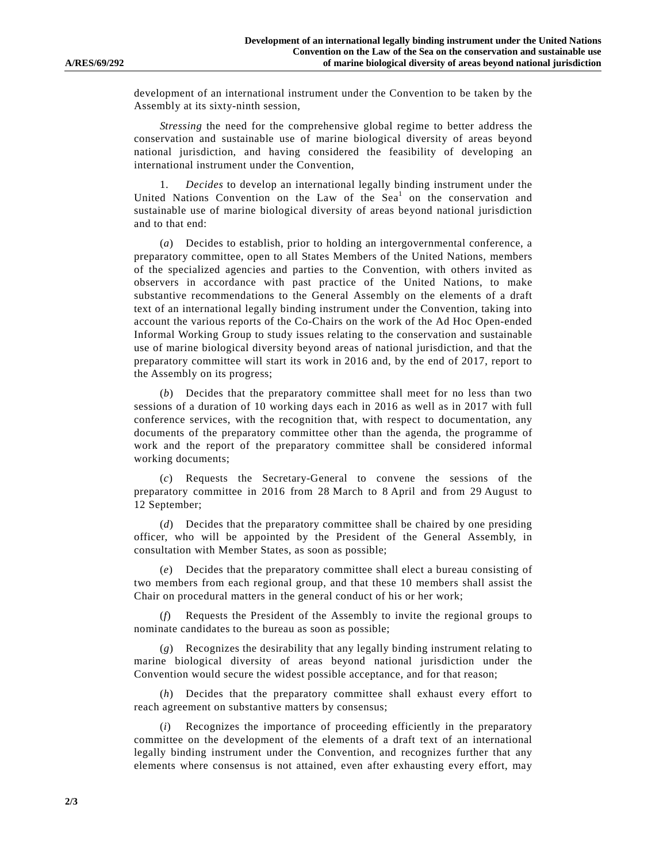development of an international instrument under the Convention to be taken by the Assembly at its sixty-ninth session,

*Stressing* the need for the comprehensive global regime to better address the conservation and sustainable use of marine biological diversity of areas beyond national jurisdiction, and having considered the feasibility of developing an international instrument under the Convention,

 1. *Decides* to develop an international legally binding instrument under the United Nations Convention on the Law of the Sea<sup>1</sup> on the conservation and sustainable use of marine biological diversity of areas beyond national jurisdiction and to that end:

 (*a*) Decides to establish, prior to holding an intergovernmental conference, a preparatory committee, open to all States Members of the United Nations, members of the specialized agencies and parties to the Convention, with others invited as observers in accordance with past practice of the United Nations, to make substantive recommendations to the General Assembly on the elements of a draft text of an international legally binding instrument under the Convention, taking into account the various reports of the Co-Chairs on the work of the Ad Hoc Open-ended Informal Working Group to study issues relating to the conservation and sustainable use of marine biological diversity beyond areas of national jurisdiction, and that the preparatory committee will start its work in 2016 and, by the end of 2017, report to the Assembly on its progress;

 (*b*) Decides that the preparatory committee shall meet for no less than two sessions of a duration of 10 working days each in 2016 as well as in 2017 with full conference services, with the recognition that, with respect to documentation, any documents of the preparatory committee other than the agenda, the programme of work and the report of the preparatory committee shall be considered informal working documents;

 (*c*) Requests the Secretary-General to convene the sessions of the preparatory committee in 2016 from 28 March to 8 April and from 29 August to 12 September;

 (*d*) Decides that the preparatory committee shall be chaired by one presiding officer, who will be appointed by the President of the General Assembly, in consultation with Member States, as soon as possible;

 (*e*) Decides that the preparatory committee shall elect a bureau consisting of two members from each regional group, and that these 10 members shall assist the Chair on procedural matters in the general conduct of his or her work;

 (*f*) Requests the President of the Assembly to invite the regional groups to nominate candidates to the bureau as soon as possible;

 (*g*) Recognizes the desirability that any legally binding instrument relating to marine biological diversity of areas beyond national jurisdiction under the Convention would secure the widest possible acceptance, and for that reason;

 (*h*) Decides that the preparatory committee shall exhaust every effort to reach agreement on substantive matters by consensus;

 (*i*) Recognizes the importance of proceeding efficiently in the preparatory committee on the development of the elements of a draft text of an international legally binding instrument under the Convention, and recognizes further that any elements where consensus is not attained, even after exhausting every effort, may